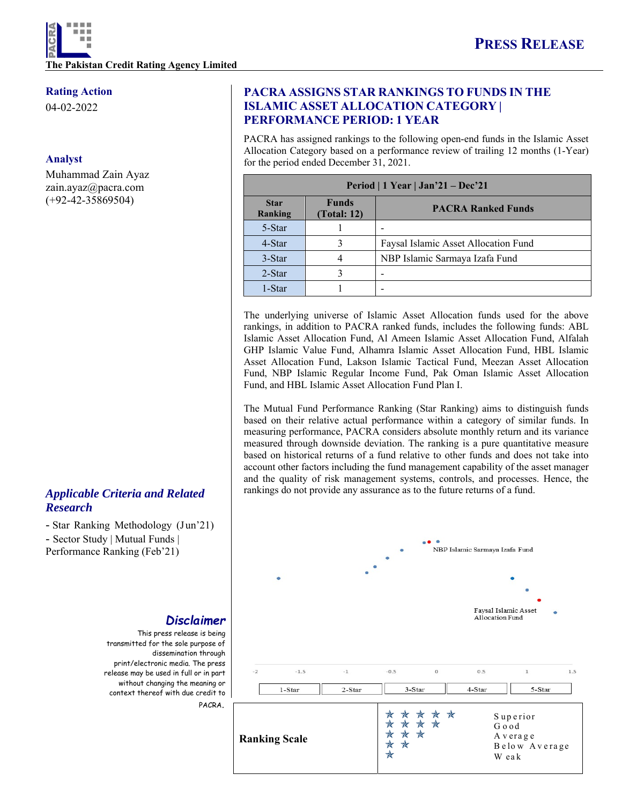### **Rating Action**

04-02-2022

### **Analyst**

Muhammad Zain Ayaz zain.ayaz@pacra.com (+92-42-35869504)

## *Applicable Criteria and Related Research*

- Star Ranking Methodology (Jun'21) - Sector Study | Mutual Funds | Performance Ranking (Feb'21)

### *Disclaimer*

This press release is being transmitted for the sole purpose of dissemination through print/electronic media. The press release may be used in full or in part without changing the meaning or context thereof with due credit to PACRA.

## **PACRA ASSIGNS STAR RANKINGS TO FUNDS IN THE ISLAMIC ASSET ALLOCATION CATEGORY | PERFORMANCE PERIOD: 1 YEAR**

PACRA has assigned rankings to the following open-end funds in the Islamic Asset Allocation Category based on a performance review of trailing 12 months (1-Year) for the period ended December 31, 2021.

| Period   1 Year   Jan'21 – Dec'21 |                             |                                      |  |  |
|-----------------------------------|-----------------------------|--------------------------------------|--|--|
| <b>Star</b><br>Ranking            | <b>Funds</b><br>(Total: 12) | <b>PACRA Ranked Funds</b>            |  |  |
| 5-Star                            |                             |                                      |  |  |
| 4-Star                            |                             | Faysal Islamic Asset Allocation Fund |  |  |
| 3-Star                            |                             | NBP Islamic Sarmaya Izafa Fund       |  |  |
| $2-Star$                          |                             |                                      |  |  |
| 1-Star                            |                             |                                      |  |  |

The underlying universe of Islamic Asset Allocation funds used for the above rankings, in addition to PACRA ranked funds, includes the following funds: ABL Islamic Asset Allocation Fund, Al Ameen Islamic Asset Allocation Fund, Alfalah GHP Islamic Value Fund, Alhamra Islamic Asset Allocation Fund, HBL Islamic Asset Allocation Fund, Lakson Islamic Tactical Fund, Meezan Asset Allocation Fund, NBP Islamic Regular Income Fund, Pak Oman Islamic Asset Allocation Fund, and HBL Islamic Asset Allocation Fund Plan I.

The Mutual Fund Performance Ranking (Star Ranking) aims to distinguish funds based on their relative actual performance within a category of similar funds. In measuring performance, PACRA considers absolute monthly return and its variance measured through downside deviation. The ranking is a pure quantitative measure based on historical returns of a fund relative to other funds and does not take into account other factors including the fund management capability of the asset manager and the quality of risk management systems, controls, and processes. Hence, the rankings do not provide any assurance as to the future returns of a fund.

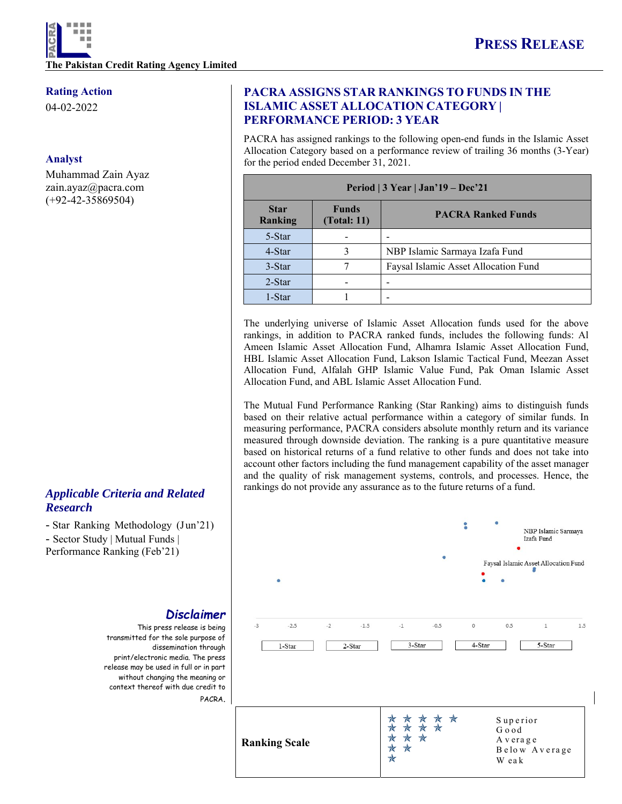### **Rating Action**

04-02-2022

### **Analyst**

Muhammad Zain Ayaz zain.ayaz@pacra.com (+92-42-35869504)

## *Applicable Criteria and Related Research*

- Star Ranking Methodology (Jun'21) - Sector Study | Mutual Funds | Performance Ranking (Feb'21)

# *Disclaimer*

This press release is being transmitted for the sole purpose of dissemination through print/electronic media. The press release may be used in full or in part without changing the meaning or context thereof with due credit to PACRA.

## **PACRA ASSIGNS STAR RANKINGS TO FUNDS IN THE ISLAMIC ASSET ALLOCATION CATEGORY | PERFORMANCE PERIOD: 3 YEAR**

PACRA has assigned rankings to the following open-end funds in the Islamic Asset Allocation Category based on a performance review of trailing 36 months (3-Year) for the period ended December 31, 2021.

| Period $\vert 3$ Year $\vert$ Jan'19 – Dec'21 |                             |                                      |  |  |
|-----------------------------------------------|-----------------------------|--------------------------------------|--|--|
| <b>Star</b><br><b>Ranking</b>                 | <b>Funds</b><br>(Total: 11) | <b>PACRA Ranked Funds</b>            |  |  |
| 5-Star                                        |                             |                                      |  |  |
| 4-Star                                        |                             | NBP Islamic Sarmaya Izafa Fund       |  |  |
| 3-Star                                        |                             | Faysal Islamic Asset Allocation Fund |  |  |
| $2-Star$                                      |                             |                                      |  |  |
| 1-Star                                        |                             |                                      |  |  |

The underlying universe of Islamic Asset Allocation funds used for the above rankings, in addition to PACRA ranked funds, includes the following funds: Al Ameen Islamic Asset Allocation Fund, Alhamra Islamic Asset Allocation Fund, HBL Islamic Asset Allocation Fund, Lakson Islamic Tactical Fund, Meezan Asset Allocation Fund, Alfalah GHP Islamic Value Fund, Pak Oman Islamic Asset Allocation Fund, and ABL Islamic Asset Allocation Fund.

The Mutual Fund Performance Ranking (Star Ranking) aims to distinguish funds based on their relative actual performance within a category of similar funds. In measuring performance, PACRA considers absolute monthly return and its variance measured through downside deviation. The ranking is a pure quantitative measure based on historical returns of a fund relative to other funds and does not take into account other factors including the fund management capability of the asset manager and the quality of risk management systems, controls, and processes. Hence, the rankings do not provide any assurance as to the future returns of a fund.